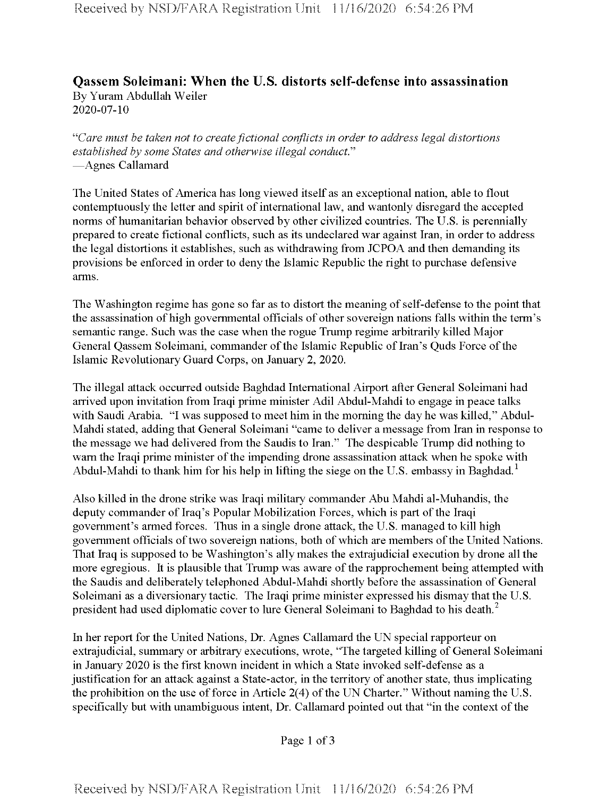## **Qassem Soleimani: When the U.S. distorts self-defense into assassination** By Yuram Abdullah Weiler 2020-07-10

*"Care must be taken not to createfictional conflicts in order to address legal distortions established by some States and otherwise illegal conducts* —Agnes Callamard

The United States of America has long viewed itself as an exceptional nation, able to flout contemptuously the letter and spirit of international law, and wantonly disregard the accepted norms of humanitarian behavior observed by other civilized countries. The U.S. is perennially prepared to create fictional conflicts, such as its undeclared war against Iran, in order to address the legal distortions it establishes, such as withdrawing from JCPOA and then demanding its provisions be enforced in order to deny the Islamic Republic the right to purchase defensive arms.

The Washington regime has gone so far as to distort the meaning of self-defense to the point that the assassination of high governmental officials of other sovereign nations falls within the term's semantic range. Such was the case when the rogue Trump regime arbitrarily killed Major General Qassem Soleimani, commander of the Islamic Republic of Iran's Quds Force of the Islamic Revolutionary Guard Corps, on January 2, 2020.

The illegal attack occurred outside Baghdad International Airport after General Soleimani had arrived upon invitation from Iraqi prime minister Adil Abdul-Mahdi to engage in peace talks with Saudi Arabia. "I was supposed to meet him in the morning the day he was killed," Abdul-Mahdi stated, adding that General Soleimani "came to deliver a message from Iran in response to the message we had delivered from the Saudis to Iran." The despicable Trump did nothing to warn the Iraqi prime minister of the impending drone assassination attack when he spoke with Abdul-Mahdi to thank him for his help in lifting the siege on the U.S. embassy in Baghdad.<sup>1</sup>

Also killed in the drone strike was Iraqi military commander Abu Mahdi al-Muhandis, the deputy commander of Iraq's Popular Mobilization Forces, which is part of the Iraqi government's armed forces. Thus in a single drone attack, the U.S. managed to kill high government officials of two sovereign nations, both of which are members of the United Nations. That Iraq is supposed to be Washington's ally makes the extrajudicial execution by drone all the more egregious. It is plausible that Trump was aware of the rapprochement being attempted with the Saudis and deliberately telephoned Abdul-Mahdi shortly before the assassination of General Soleimani as a diversionary tactic. The Iraqi prime minister expressed his dismay that the U.S. president had used diplomatic cover to lure General Soleimani to Baghdad to his death.<sup>2</sup>

In her report for the United Nations, Dr. Agnes Callamard the UN special rapporteur on extrajudicial, summary or arbitrary executions, wrote, "The targeted killing of General Soleimani in January 2020 is the first known incident in which a State invoked self-defense as a justification for an attack against a State-actor, in the territory of another state, thus implicating the prohibition on the use of force in Article  $2(4)$  of the UN Charter." Without naming the U.S. specifically but with unambiguous intent, Dr. Callamard pointed out that "in the context of the

Page 1 of 3

Received **by** NSD/FARA Registration **Unit 11/16/2020 6:54:26 PM**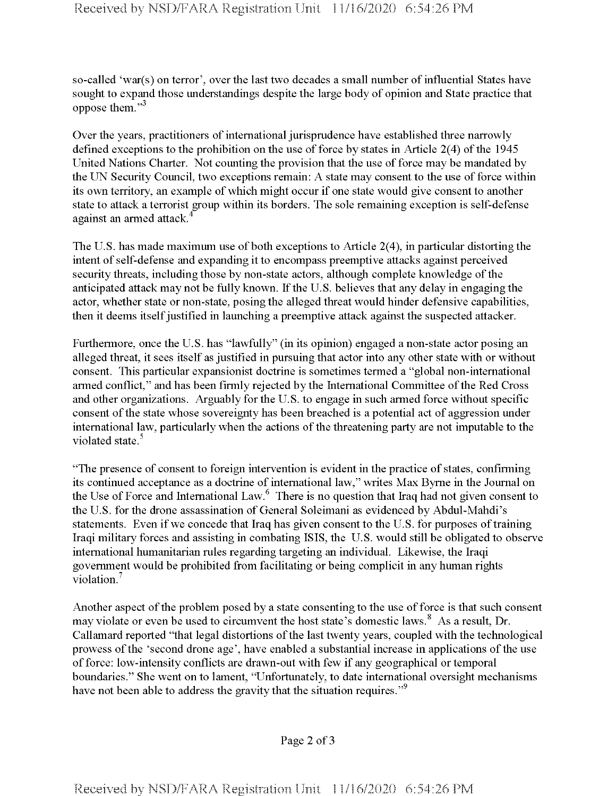so-called 'war(s) on terror', over the last two decades a small number of influential States have sought to expand those understandings despite the large body of opinion and State practice that oppose them."3

Over the years, practitioners of international jurisprudence have established three narrowly defined exceptions to the prohibition on the use of force by states in Article  $2(4)$  of the 1945 United Nations Charter. Not counting the provision that the use of force may be mandated by the UN Security Council, two exceptions remain: A state may consent to the use of force within its own territory, an example of which might occur if one state would give consent to another state to attack a terrorist group within its borders. The sole remaining exception is self-defense against an armed attack.

The U.S. has made maximum use of both exceptions to Article 2(4), in particular distorting the intent of self-defense and expanding it to encompass preemptive attacks against perceived security threats, including those by non-state actors, although complete knowledge of the anticipated attack may not be fully known. If the U.S. believes that any delay in engaging the actor, whether state or non-state, posing the alleged threat would hinder defensive capabilities, then it deems itself justified in launching a preemptive attack against the suspected attacker.

Furthermore, once the U.S. has "lawfully" (in its opinion) engaged a non-state actor posing an alleged threat, it sees itself as justified in pursuing that actor into any other state with or without consent. This particular expansionist doctrine is sometimes termed a "global non-intemational armed conflict," and has been firmly rejected by the International Committee ofthe Red Cross and other organizations. Arguably for the U.S. to engage in such armed force without specific consent of the state whose sovereignty has been breached is a potential act of aggression under international law, particularly when the actions of the threatening party are not imputable to the violated state.<sup>5</sup>

"The presence of consent to foreign intervention is evident in the practice of states, confirming its continued acceptance as a doctrine of international law," writes Max Byrne in the Journal on the Use of Force and International Law.<sup>6</sup> There is no question that Iraq had not given consent to the U.S. for the drone assassination of General Soleimani as evidenced by Abdul-Mahdi's statements. Even if we concede that Iraq has given consent to the U.S. for purposes of training Iraqi military forces and assisting in combating ISIS, the U.S. would still be obligated to observe international humanitarian rules regarding targeting an individual. Likewise, the Iraqi government would be prohibited from facilitating or being complicit in any human rights violation.<sup>7</sup>

Another aspect of the problem posed by a state consenting to the use of force is that such consent may violate or even be used to circumvent the host state's domestic laws.<sup>8</sup> As a result, Dr. Callamard reported "that legal distortions of the last twenty years, coupled with the technological prowess of the 'second drone age', have enabled a substantial increase in applications of the use of force: low-intensity conflicts are drawn-out with few if any geographical or temporal boundaries." She went on to lament, "Unfortunately, to date international oversight mechanisms have not been able to address the gravity that the situation requires."<sup>9</sup>

Page 2 of <sup>3</sup>